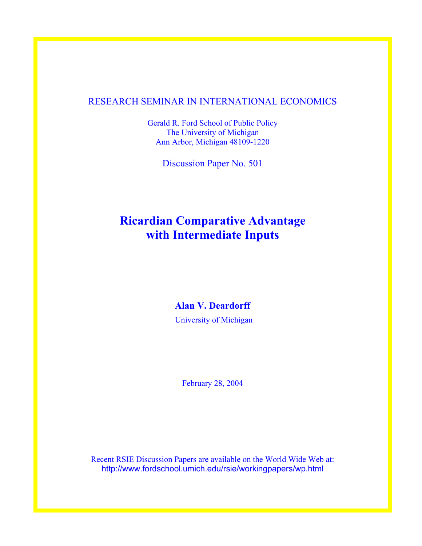# RESEARCH SEMINAR IN INTERNATIONAL ECONOMICS

Gerald R. Ford School of Public Policy The University of Michigan Ann Arbor, Michigan 48109-1220

Discussion Paper No. 501

# **Ricardian Comparative Advantage with Intermediate Inputs**

# **Alan V. Deardorff**

University of Michigan

February 28, 2004

Recent RSIE Discussion Papers are available on the World Wide Web at: http://www.fordschool.umich.edu/rsie/workingpapers/wp.html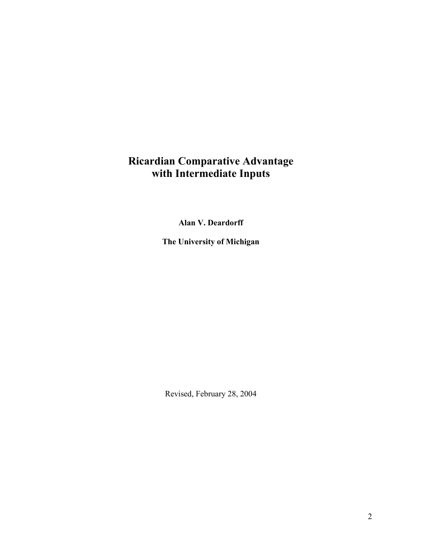# **Ricardian Comparative Advantage with Intermediate Inputs**

**Alan V. Deardorff** 

**The University of Michigan** 

Revised, February 28, 2004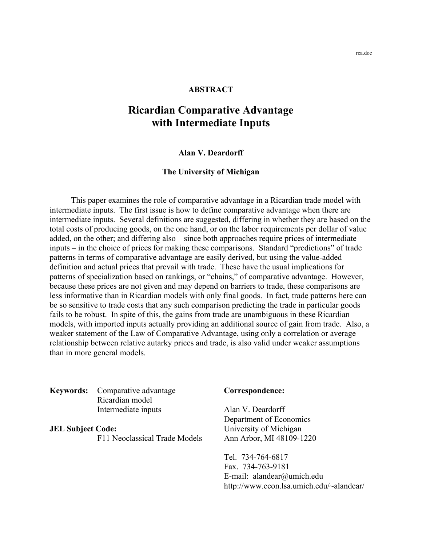### **ABSTRACT**

# **Ricardian Comparative Advantage with Intermediate Inputs**

### **Alan V. Deardorff**

### **The University of Michigan**

 This paper examines the role of comparative advantage in a Ricardian trade model with intermediate inputs. The first issue is how to define comparative advantage when there are intermediate inputs. Several definitions are suggested, differing in whether they are based on the total costs of producing goods, on the one hand, or on the labor requirements per dollar of value added, on the other; and differing also – since both approaches require prices of intermediate inputs – in the choice of prices for making these comparisons. Standard "predictions" of trade patterns in terms of comparative advantage are easily derived, but using the value-added definition and actual prices that prevail with trade. These have the usual implications for patterns of specialization based on rankings, or "chains," of comparative advantage. However, because these prices are not given and may depend on barriers to trade, these comparisons are less informative than in Ricardian models with only final goods. In fact, trade patterns here can be so sensitive to trade costs that any such comparison predicting the trade in particular goods fails to be robust. In spite of this, the gains from trade are unambiguous in these Ricardian models, with imported inputs actually providing an additional source of gain from trade. Also, a weaker statement of the Law of Comparative Advantage, using only a correlation or average relationship between relative autarky prices and trade, is also valid under weaker assumptions than in more general models.

| <b>Keywords:</b> Comparative advantage |
|----------------------------------------|
| Ricardian model                        |
| Intermediate inputs                    |

**JEL Subject Code:** University of Michigan F11 Neoclassical Trade Models Ann Arbor, MI 48109-1220

#### $Correspondence:$

Alan V. Deardorff Department of Economics

 Tel. 734-764-6817 Fax. 734-763-9181 E-mail: alandear@umich.edu http://www.econ.lsa.umich.edu/~alandear/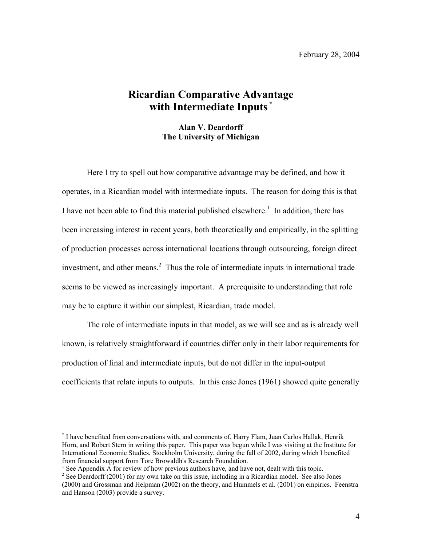# **Ricardian Comparative Advantage with Intermediate Inputs \***

### **Alan V. Deardorff The University of Michigan**

Here I try to spell out how comparative advantage may be defined, and how it operates, in a Ricardian model with intermediate inputs. The reason for doing this is that I have not been able to find this material published elsewhere.<sup>1</sup> In addition, there has been increasing interest in recent years, both theoretically and empirically, in the splitting of production processes across international locations through outsourcing, foreign direct investment, and other means.<sup>2</sup> Thus the role of intermediate inputs in international trade seems to be viewed as increasingly important. A prerequisite to understanding that role may be to capture it within our simplest, Ricardian, trade model.

The role of intermediate inputs in that model, as we will see and as is already well known, is relatively straightforward if countries differ only in their labor requirements for production of final and intermediate inputs, but do not differ in the input-output coefficients that relate inputs to outputs. In this case Jones (1961) showed quite generally

 $\overline{a}$ 

<sup>\*</sup> I have benefited from conversations with, and comments of, Harry Flam, Juan Carlos Hallak, Henrik Horn, and Robert Stern in writing this paper. This paper was begun while I was visiting at the Institute for International Economic Studies, Stockholm University, during the fall of 2002, during which I benefited from financial support from Tore Browaldh's Research Foundation.

<sup>&</sup>lt;sup>1</sup> See Appendix A for review of how previous authors have, and have not, dealt with this topic.

 $2^2$  See Deardorff (2001) for my own take on this issue, including in a Ricardian model. See also Jones (2000) and Grossman and Helpman (2002) on the theory, and Hummels et al. (2001) on empirics. Feenstra and Hanson (2003) provide a survey.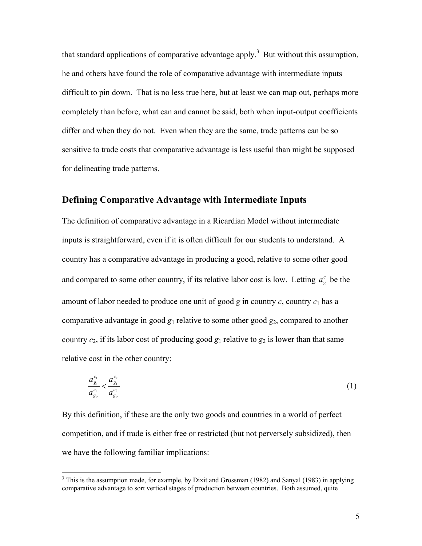that standard applications of comparative advantage apply.<sup>3</sup> But without this assumption, he and others have found the role of comparative advantage with intermediate inputs difficult to pin down. That is no less true here, but at least we can map out, perhaps more completely than before, what can and cannot be said, both when input-output coefficients differ and when they do not. Even when they are the same, trade patterns can be so sensitive to trade costs that comparative advantage is less useful than might be supposed for delineating trade patterns.

### **Defining Comparative Advantage with Intermediate Inputs**

The definition of comparative advantage in a Ricardian Model without intermediate inputs is straightforward, even if it is often difficult for our students to understand. A country has a comparative advantage in producing a good, relative to some other good and compared to some other country, if its relative labor cost is low. Letting  $a<sub>g</sub><sup>c</sup>$  be the amount of labor needed to produce one unit of good  $g$  in country  $c$ , country  $c_1$  has a comparative advantage in good  $g_1$  relative to some other good  $g_2$ , compared to another country  $c_2$ , if its labor cost of producing good  $g_1$  relative to  $g_2$  is lower than that same relative cost in the other country:

$$
\frac{a_{g_1}^{c_1}}{a_{g_2}^{c_1}} < \frac{a_{g_1}^{c_2}}{a_{g_2}^{c_2}} \tag{1}
$$

By this definition, if these are the only two goods and countries in a world of perfect competition, and if trade is either free or restricted (but not perversely subsidized), then we have the following familiar implications:

 $\overline{a}$ 

 $3$  This is the assumption made, for example, by Dixit and Grossman (1982) and Sanyal (1983) in applying comparative advantage to sort vertical stages of production between countries. Both assumed, quite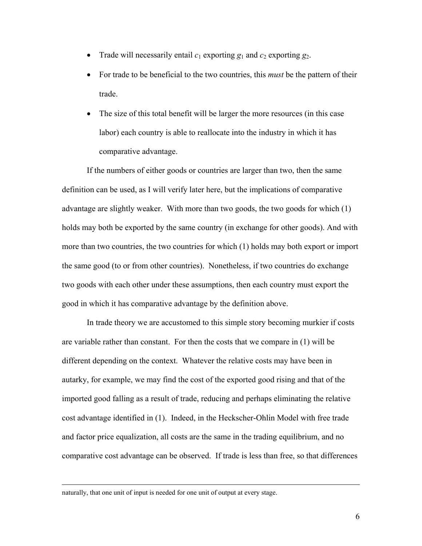- Trade will necessarily entail  $c_1$  exporting  $g_1$  and  $c_2$  exporting  $g_2$ .
- For trade to be beneficial to the two countries, this *must* be the pattern of their trade.
- The size of this total benefit will be larger the more resources (in this case labor) each country is able to reallocate into the industry in which it has comparative advantage.

If the numbers of either goods or countries are larger than two, then the same definition can be used, as I will verify later here, but the implications of comparative advantage are slightly weaker. With more than two goods, the two goods for which (1) holds may both be exported by the same country (in exchange for other goods). And with more than two countries, the two countries for which (1) holds may both export or import the same good (to or from other countries). Nonetheless, if two countries do exchange two goods with each other under these assumptions, then each country must export the good in which it has comparative advantage by the definition above.

In trade theory we are accustomed to this simple story becoming murkier if costs are variable rather than constant. For then the costs that we compare in (1) will be different depending on the context. Whatever the relative costs may have been in autarky, for example, we may find the cost of the exported good rising and that of the imported good falling as a result of trade, reducing and perhaps eliminating the relative cost advantage identified in (1). Indeed, in the Heckscher-Ohlin Model with free trade and factor price equalization, all costs are the same in the trading equilibrium, and no comparative cost advantage can be observed. If trade is less than free, so that differences

naturally, that one unit of input is needed for one unit of output at every stage.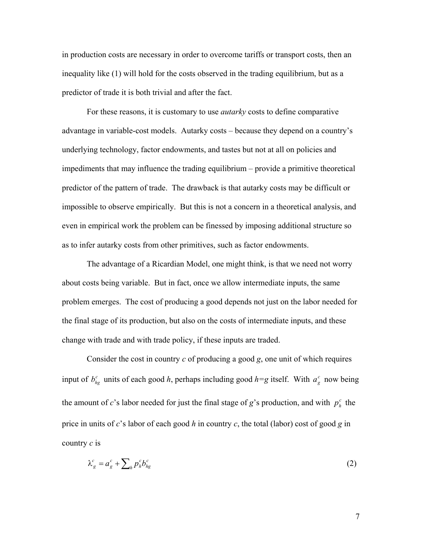in production costs are necessary in order to overcome tariffs or transport costs, then an inequality like (1) will hold for the costs observed in the trading equilibrium, but as a predictor of trade it is both trivial and after the fact.

For these reasons, it is customary to use *autarky* costs to define comparative advantage in variable-cost models. Autarky costs – because they depend on a country's underlying technology, factor endowments, and tastes but not at all on policies and impediments that may influence the trading equilibrium – provide a primitive theoretical predictor of the pattern of trade. The drawback is that autarky costs may be difficult or impossible to observe empirically. But this is not a concern in a theoretical analysis, and even in empirical work the problem can be finessed by imposing additional structure so as to infer autarky costs from other primitives, such as factor endowments.

The advantage of a Ricardian Model, one might think, is that we need not worry about costs being variable. But in fact, once we allow intermediate inputs, the same problem emerges. The cost of producing a good depends not just on the labor needed for the final stage of its production, but also on the costs of intermediate inputs, and these change with trade and with trade policy, if these inputs are traded.

Consider the cost in country *c* of producing a good *g*, one unit of which requires input of  $b_{hg}^c$  units of each good *h*, perhaps including good *h*=*g* itself. With  $a_g^c$  now being the amount of *c*'s labor needed for just the final stage of *g*'s production, and with  $p_h^c$  the price in units of *c*'s labor of each good *h* in country *c*, the total (labor) cost of good *g* in country *c* is

$$
\lambda_g^c = a_g^c + \sum_h p_h^c b_{hg}^c \tag{2}
$$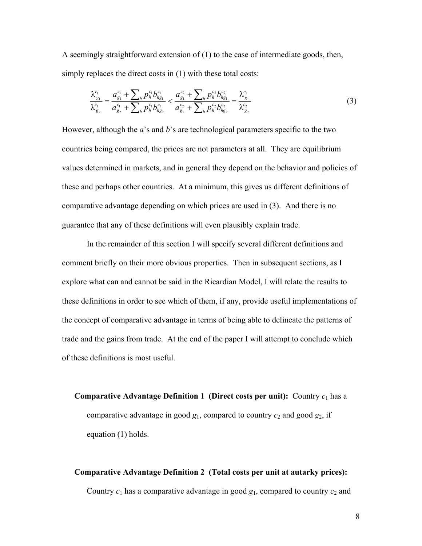A seemingly straightforward extension of (1) to the case of intermediate goods, then, simply replaces the direct costs in (1) with these total costs:

$$
\frac{\lambda_{g_1}^{c_1}}{\lambda_{g_2}^{c_1}} = \frac{a_{g_1}^{c_1} + \sum_h p_h^{c_1} b_{hg_1}^{c_1}}{a_{g_2}^{c_1} + \sum_h p_h^{c_1} b_{hg_2}^{c_1}} < \frac{a_{g_1}^{c_2} + \sum_h p_h^{c_2} b_{hg_1}^{c_2}}{a_{g_2}^{c_2} + \sum_h p_h^{c_2} b_{hg_2}^{c_2}} = \frac{\lambda_{g_1}^{c_2}}{\lambda_{g_2}^{c_2}}
$$
(3)

However, although the *a*'s and *b*'s are technological parameters specific to the two countries being compared, the prices are not parameters at all. They are equilibrium values determined in markets, and in general they depend on the behavior and policies of these and perhaps other countries. At a minimum, this gives us different definitions of comparative advantage depending on which prices are used in (3). And there is no guarantee that any of these definitions will even plausibly explain trade.

 In the remainder of this section I will specify several different definitions and comment briefly on their more obvious properties. Then in subsequent sections, as I explore what can and cannot be said in the Ricardian Model, I will relate the results to these definitions in order to see which of them, if any, provide useful implementations of the concept of comparative advantage in terms of being able to delineate the patterns of trade and the gains from trade. At the end of the paper I will attempt to conclude which of these definitions is most useful.

**Comparative Advantage Definition 1 (Direct costs per unit):** Country  $c_1$  has a comparative advantage in good  $g_1$ , compared to country  $c_2$  and good  $g_2$ , if equation (1) holds.

**Comparative Advantage Definition 2 (Total costs per unit at autarky prices):** Country  $c_1$  has a comparative advantage in good  $g_1$ , compared to country  $c_2$  and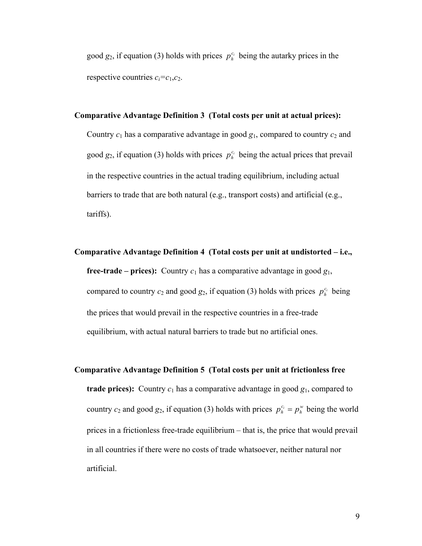good  $g_2$ , if equation (3) holds with prices  $p_h^{c_i}$  being the autarky prices in the respective countries  $c_i = c_1, c_2$ .

### **Comparative Advantage Definition 3 (Total costs per unit at actual prices):**

Country  $c_1$  has a comparative advantage in good  $g_1$ , compared to country  $c_2$  and good  $g_2$ , if equation (3) holds with prices  $p_h^{c_i}$  being the actual prices that prevail in the respective countries in the actual trading equilibrium, including actual barriers to trade that are both natural (e.g., transport costs) and artificial (e.g., tariffs).

# **Comparative Advantage Definition 4 (Total costs per unit at undistorted – i.e., free-trade – prices):** Country  $c_1$  has a comparative advantage in good  $g_1$ , compared to country  $c_2$  and good  $g_2$ , if equation (3) holds with prices  $p_h^{c_i}$  being the prices that would prevail in the respective countries in a free-trade equilibrium, with actual natural barriers to trade but no artificial ones.

**Comparative Advantage Definition 5 (Total costs per unit at frictionless free trade prices):** Country  $c_1$  has a comparative advantage in good  $g_1$ , compared to country  $c_2$  and good  $g_2$ , if equation (3) holds with prices  $p_h^{c_i} = p_h^w$  being the world prices in a frictionless free-trade equilibrium – that is, the price that would prevail in all countries if there were no costs of trade whatsoever, neither natural nor artificial.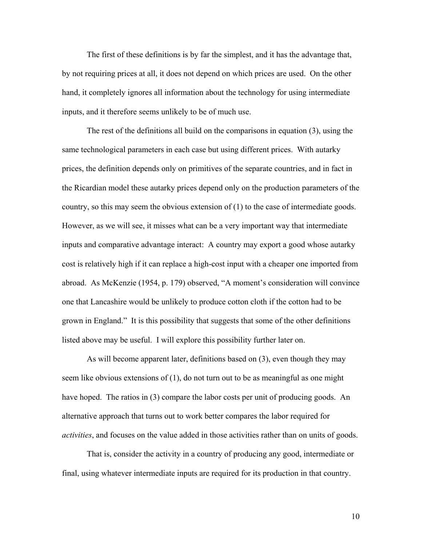The first of these definitions is by far the simplest, and it has the advantage that, by not requiring prices at all, it does not depend on which prices are used. On the other hand, it completely ignores all information about the technology for using intermediate inputs, and it therefore seems unlikely to be of much use.

The rest of the definitions all build on the comparisons in equation (3), using the same technological parameters in each case but using different prices. With autarky prices, the definition depends only on primitives of the separate countries, and in fact in the Ricardian model these autarky prices depend only on the production parameters of the country, so this may seem the obvious extension of (1) to the case of intermediate goods. However, as we will see, it misses what can be a very important way that intermediate inputs and comparative advantage interact: A country may export a good whose autarky cost is relatively high if it can replace a high-cost input with a cheaper one imported from abroad. As McKenzie (1954, p. 179) observed, "A moment's consideration will convince one that Lancashire would be unlikely to produce cotton cloth if the cotton had to be grown in England." It is this possibility that suggests that some of the other definitions listed above may be useful. I will explore this possibility further later on.

As will become apparent later, definitions based on (3), even though they may seem like obvious extensions of (1), do not turn out to be as meaningful as one might have hoped. The ratios in (3) compare the labor costs per unit of producing goods. An alternative approach that turns out to work better compares the labor required for *activities*, and focuses on the value added in those activities rather than on units of goods.

That is, consider the activity in a country of producing any good, intermediate or final, using whatever intermediate inputs are required for its production in that country.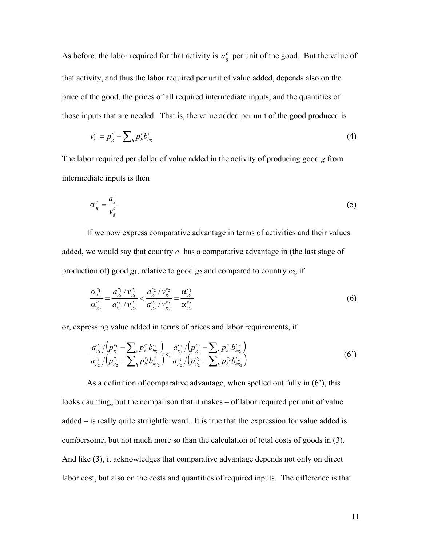As before, the labor required for that activity is  $a<sub>g</sub><sup>c</sup>$  per unit of the good. But the value of that activity, and thus the labor required per unit of value added, depends also on the price of the good, the prices of all required intermediate inputs, and the quantities of those inputs that are needed. That is, the value added per unit of the good produced is

$$
v_g^c = p_g^c - \sum_h p_h^c b_{hg}^c \tag{4}
$$

The labor required per dollar of value added in the activity of producing good *g* from intermediate inputs is then

$$
\alpha_g^c = \frac{a_g^c}{v_g^c} \tag{5}
$$

 If we now express comparative advantage in terms of activities and their values added, we would say that country  $c_1$  has a comparative advantage in (the last stage of production of) good  $g_1$ , relative to good  $g_2$  and compared to country  $c_2$ , if

$$
\frac{\alpha_{g_1}^{c_1}}{\alpha_{g_2}^{c_1}} = \frac{a_{g_1}^{c_1}/v_{g_1}^{c_1}}{a_{g_2}^{c_1}/v_{g_2}^{c_1}} < \frac{a_{g_1}^{c_2}/v_{g_1}^{c_2}}{a_{g_2}^{c_2}/v_{g_2}^{c_2}} = \frac{\alpha_{g_1}^{c_2}}{\alpha_{g_2}^{c_2}}
$$
(6)

or, expressing value added in terms of prices and labor requirements, if

$$
\frac{a_{g_1}^{c_1} / (p_{g_1}^{c_1} - \sum_h p_h^{c_1} b_{hg_1}^{c_1})}{a_{g_2}^{c_1} / (p_{g_2}^{c_1} - \sum_h p_h^{c_1} b_{hg_2}^{c_1})} < \frac{a_{g_1}^{c_2} / (p_{g_1}^{c_2} - \sum_h p_h^{c_2} b_{hg_1}^{c_2})}{a_{g_2}^{c_2} / (p_{g_2}^{c_2} - \sum_h p_h^{c_2} b_{hg_2}^{c_2})} \tag{6'}
$$

 As a definition of comparative advantage, when spelled out fully in (6'), this looks daunting, but the comparison that it makes – of labor required per unit of value added – is really quite straightforward. It is true that the expression for value added is cumbersome, but not much more so than the calculation of total costs of goods in (3). And like (3), it acknowledges that comparative advantage depends not only on direct labor cost, but also on the costs and quantities of required inputs. The difference is that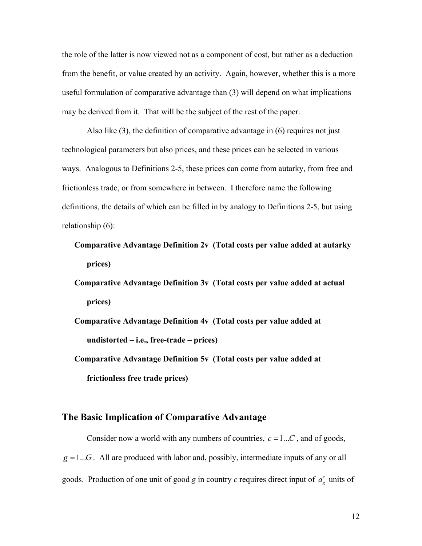the role of the latter is now viewed not as a component of cost, but rather as a deduction from the benefit, or value created by an activity. Again, however, whether this is a more useful formulation of comparative advantage than (3) will depend on what implications may be derived from it. That will be the subject of the rest of the paper.

 Also like (3), the definition of comparative advantage in (6) requires not just technological parameters but also prices, and these prices can be selected in various ways. Analogous to Definitions 2-5, these prices can come from autarky, from free and frictionless trade, or from somewhere in between. I therefore name the following definitions, the details of which can be filled in by analogy to Definitions 2-5, but using relationship (6):

- **Comparative Advantage Definition 2v (Total costs per value added at autarky prices)**
- **Comparative Advantage Definition 3v (Total costs per value added at actual prices)**
- **Comparative Advantage Definition 4v (Total costs per value added at undistorted – i.e., free-trade – prices)**

**Comparative Advantage Definition 5v (Total costs per value added at frictionless free trade prices)**

## **The Basic Implication of Comparative Advantage**

Consider now a world with any numbers of countries,  $c = 1...C$ , and of goods,  $g = 1...G$ . All are produced with labor and, possibly, intermediate inputs of any or all goods. Production of one unit of good *g* in country *c* requires direct input of  $a_g^c$  units of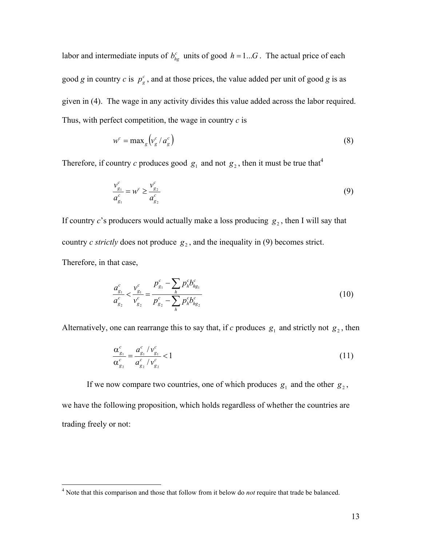labor and intermediate inputs of  $b_{hg}^c$  units of good  $h = 1...G$ . The actual price of each good *g* in country *c* is  $p_g^c$ , and at those prices, the value added per unit of good *g* is as given in (4). The wage in any activity divides this value added across the labor required. Thus, with perfect competition, the wage in country *c* is

$$
w^c = \max_g \left( v_g^c / a_g^c \right) \tag{8}
$$

Therefore, if country *c* produces good  $g_1$  and not  $g_2$ , then it must be true that<sup>4</sup>

$$
\frac{v_{g_1}^c}{a_{g_1}^c} = w^c \ge \frac{v_{g_2}^c}{a_{g_2}^c}
$$
\n(9)

If country  $c$ 's producers would actually make a loss producing  $g_2$ , then I will say that country *c strictly* does not produce  $g_2$ , and the inequality in (9) becomes strict. Therefore, in that case,

$$
\frac{a_{g_1}^c}{a_{g_2}^c} < \frac{v_{g_1}^c}{v_{g_2}^c} = \frac{p_{g_1}^c - \sum_h p_h^c b_{hg_1}^c}{p_{g_2}^c - \sum_h p_h^c b_{hg_2}^c} \tag{10}
$$

Alternatively, one can rearrange this to say that, if *c* produces  $g_1$  and strictly not  $g_2$ , then

$$
\frac{\alpha_{g_1}^c}{\alpha_{g_2}^c} = \frac{a_{g_1}^c / v_{g_1}^c}{a_{g_2}^c / v_{g_2}^c} < 1
$$
\n(11)

If we now compare two countries, one of which produces  $g_1$  and the other  $g_2$ , we have the following proposition, which holds regardless of whether the countries are trading freely or not:

<sup>&</sup>lt;sup>4</sup> Note that this comparison and those that follow from it below do *not* require that trade be balanced.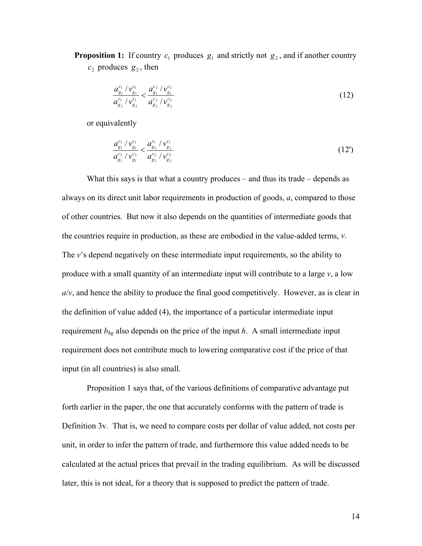**Proposition 1:** If country  $c_1$  produces  $g_1$  and strictly not  $g_2$ , and if another country  $c_2$  produces  $g_2$ , then

$$
\frac{a_{g_1}^{c_1}/v_{g_1}^{c_1}}{a_{g_2}^{c_1}/v_{g_2}^{c_1}} < \frac{a_{g_1}^{c_2}/v_{g_1}^{c_2}}{a_{g_2}^{c_2}/v_{g_2}^{c_2}}
$$
\n(12)

or equivalently

$$
\frac{a_{g_1}^{c_1}/v_{g_1}^{c_1}}{a_{g_1}^{c_2}/v_{g_1}^{c_2}} < \frac{a_{g_2}^{c_1}/v_{g_2}^{c_1}}{a_{g_2}^{c_2}/v_{g_2}^{c_2}}
$$
\n(12')

What this says is that what a country produces – and thus its trade – depends as always on its direct unit labor requirements in production of goods, *a*, compared to those of other countries. But now it also depends on the quantities of intermediate goods that the countries require in production, as these are embodied in the value-added terms, *v*. The *v*'s depend negatively on these intermediate input requirements, so the ability to produce with a small quantity of an intermediate input will contribute to a large *v*, a low  $a/v$ , and hence the ability to produce the final good competitively. However, as is clear in the definition of value added (4), the importance of a particular intermediate input requirement *bhg* also depends on the price of the input *h*. A small intermediate input requirement does not contribute much to lowering comparative cost if the price of that input (in all countries) is also small.

Proposition 1 says that, of the various definitions of comparative advantage put forth earlier in the paper, the one that accurately conforms with the pattern of trade is Definition 3v. That is, we need to compare costs per dollar of value added, not costs per unit, in order to infer the pattern of trade, and furthermore this value added needs to be calculated at the actual prices that prevail in the trading equilibrium. As will be discussed later, this is not ideal, for a theory that is supposed to predict the pattern of trade.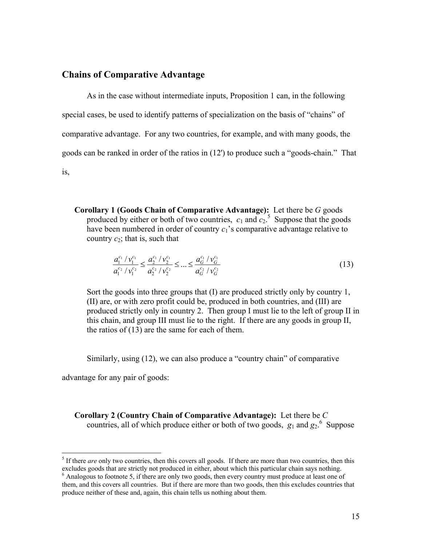# **Chains of Comparative Advantage**

As in the case without intermediate inputs, Proposition 1 can, in the following special cases, be used to identify patterns of specialization on the basis of "chains" of comparative advantage. For any two countries, for example, and with many goods, the goods can be ranked in order of the ratios in (12') to produce such a "goods-chain." That is,

**Corollary 1 (Goods Chain of Comparative Advantage):** Let there be *G* goods produced by either or both of two countries,  $c_1$  and  $c_2$ <sup>5</sup>. Suppose that the goods have been numbered in order of country *c*1's comparative advantage relative to country  $c_2$ ; that is, such that

$$
\frac{a_1^{c_1}/v_1^{c_1}}{a_1^{c_2}/v_1^{c_2}} \le \frac{a_2^{c_1}/v_2^{c_1}}{a_2^{c_2}/v_2^{c_2}} \le \dots \le \frac{a_G^{c_1}/v_G^{c_1}}{a_G^{c_2}/v_G^{c_2}}
$$
\n(13)

Sort the goods into three groups that (I) are produced strictly only by country 1, (II) are, or with zero profit could be, produced in both countries, and (III) are produced strictly only in country 2. Then group I must lie to the left of group II in this chain, and group III must lie to the right. If there are any goods in group II, the ratios of (13) are the same for each of them.

Similarly, using (12), we can also produce a "country chain" of comparative

advantage for any pair of goods:

1

**Corollary 2 (Country Chain of Comparative Advantage):** Let there be *C* countries, all of which produce either or both of two goods,  $g_1$  and  $g_2$ <sup>6</sup> Suppose

<sup>&</sup>lt;sup>5</sup> If there *are* only two countries, then this covers all goods. If there are more than two countries, then this excludes goods that are strictly not produced in either, about which this particular chain says nothing. 6

<sup>&</sup>lt;sup>6</sup> Analogous to footnote 5, if there are only two goods, then every country must produce at least one of them, and this covers all countries. But if there are more than two goods, then this excludes countries that produce neither of these and, again, this chain tells us nothing about them.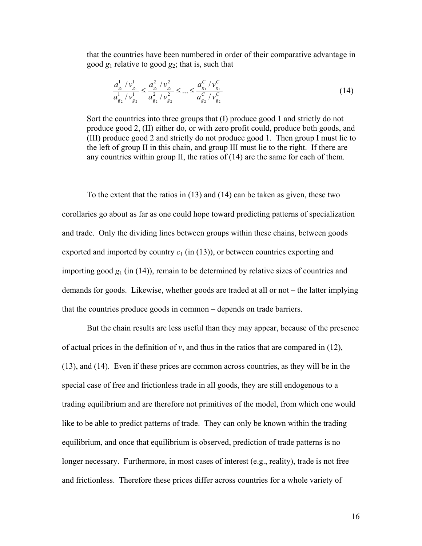that the countries have been numbered in order of their comparative advantage in good  $g_1$  relative to good  $g_2$ ; that is, such that

$$
\frac{a_{g_1}^1/v_{g_1}^1}{a_{g_2}^1/v_{g_2}^1} \le \frac{a_{g_1}^2/v_{g_1}^2}{a_{g_2}^2/v_{g_2}^2} \le \dots \le \frac{a_{g_1}^C/v_{g_1}^C}{a_{g_2}^C/v_{g_2}^C}
$$
\n(14)

Sort the countries into three groups that (I) produce good 1 and strictly do not produce good 2, (II) either do, or with zero profit could, produce both goods, and (III) produce good 2 and strictly do not produce good 1. Then group I must lie to the left of group II in this chain, and group III must lie to the right. If there are any countries within group II, the ratios of (14) are the same for each of them.

To the extent that the ratios in (13) and (14) can be taken as given, these two corollaries go about as far as one could hope toward predicting patterns of specialization and trade. Only the dividing lines between groups within these chains, between goods exported and imported by country  $c_1$  (in (13)), or between countries exporting and importing good  $g_1$  (in (14)), remain to be determined by relative sizes of countries and demands for goods. Likewise, whether goods are traded at all or not – the latter implying that the countries produce goods in common – depends on trade barriers.

But the chain results are less useful than they may appear, because of the presence of actual prices in the definition of  $v$ , and thus in the ratios that are compared in (12), (13), and (14). Even if these prices are common across countries, as they will be in the special case of free and frictionless trade in all goods, they are still endogenous to a trading equilibrium and are therefore not primitives of the model, from which one would like to be able to predict patterns of trade. They can only be known within the trading equilibrium, and once that equilibrium is observed, prediction of trade patterns is no longer necessary. Furthermore, in most cases of interest (e.g., reality), trade is not free and frictionless. Therefore these prices differ across countries for a whole variety of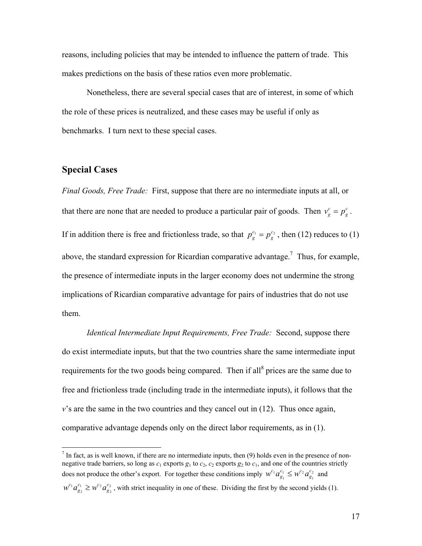reasons, including policies that may be intended to influence the pattern of trade. This makes predictions on the basis of these ratios even more problematic.

Nonetheless, there are several special cases that are of interest, in some of which the role of these prices is neutralized, and these cases may be useful if only as benchmarks. I turn next to these special cases.

## **Special Cases**

*Final Goods, Free Trade:* First, suppose that there are no intermediate inputs at all, or that there are none that are needed to produce a particular pair of goods. Then  $v_g^c = p_g^c$  $v_g^c = p_g^c$ . If in addition there is free and frictionless trade, so that  $p_g^{c_1} = p_g^{c_2}$  $p_g^{c_1} = p_g^{c_2}$ , then (12) reduces to (1) above, the standard expression for Ricardian comparative advantage.<sup>7</sup> Thus, for example, the presence of intermediate inputs in the larger economy does not undermine the strong implications of Ricardian comparative advantage for pairs of industries that do not use them.

*Identical Intermediate Input Requirements, Free Trade:* Second, suppose there do exist intermediate inputs, but that the two countries share the same intermediate input requirements for the two goods being compared. Then if all<sup>8</sup> prices are the same due to free and frictionless trade (including trade in the intermediate inputs), it follows that the *v*'s are the same in the two countries and they cancel out in (12). Thus once again, comparative advantage depends only on the direct labor requirements, as in (1).

 $\frac{1}{7}$  In fact, as is well known, if there are no intermediate inputs, then (9) holds even in the presence of nonnegative trade barriers, so long as  $c_1$  exports  $g_1$  to  $c_2$ ,  $c_2$  exports  $g_2$  to  $c_1$ , and one of the countries strictly does not produce the other's export. For together these conditions imply  $w^{c_1} a_{g_1}^{c_2} \leq w^{c_2} a_{g_1}^{c_2}$  $1 < 11^{2}$ 1  $\int_a^{\infty} a_{g_1}^{c_1} \leq w^{c_2} a_g^{c_1}$  $c_1 \geq c$  $w^{c_1} a_{g_1}^{c_1} \leq w^{c_2} a_{g_1}^{c_2}$  and 2 2  $1 > u^{c_2}$  $w^{c_1}_{g_2} \geq w^{c_2} a_g^c$  $c_1 \sim \mathcal{L}$  $w^{c_1} a_{g_2}^{c_1} \geq w^{c_2} a_{g_2}^{c_2}$ , with strict inequality in one of these. Dividing the first by the second yields (1).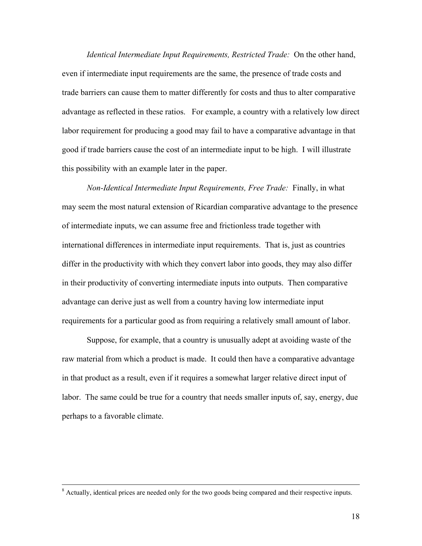*Identical Intermediate Input Requirements, Restricted Trade:* On the other hand, even if intermediate input requirements are the same, the presence of trade costs and trade barriers can cause them to matter differently for costs and thus to alter comparative advantage as reflected in these ratios. For example, a country with a relatively low direct labor requirement for producing a good may fail to have a comparative advantage in that good if trade barriers cause the cost of an intermediate input to be high. I will illustrate this possibility with an example later in the paper.

*Non-Identical Intermediate Input Requirements, Free Trade:* Finally, in what may seem the most natural extension of Ricardian comparative advantage to the presence of intermediate inputs, we can assume free and frictionless trade together with international differences in intermediate input requirements. That is, just as countries differ in the productivity with which they convert labor into goods, they may also differ in their productivity of converting intermediate inputs into outputs. Then comparative advantage can derive just as well from a country having low intermediate input requirements for a particular good as from requiring a relatively small amount of labor.

Suppose, for example, that a country is unusually adept at avoiding waste of the raw material from which a product is made. It could then have a comparative advantage in that product as a result, even if it requires a somewhat larger relative direct input of labor. The same could be true for a country that needs smaller inputs of, say, energy, due perhaps to a favorable climate.

 <sup>8</sup> <sup>8</sup> Actually, identical prices are needed only for the two goods being compared and their respective inputs.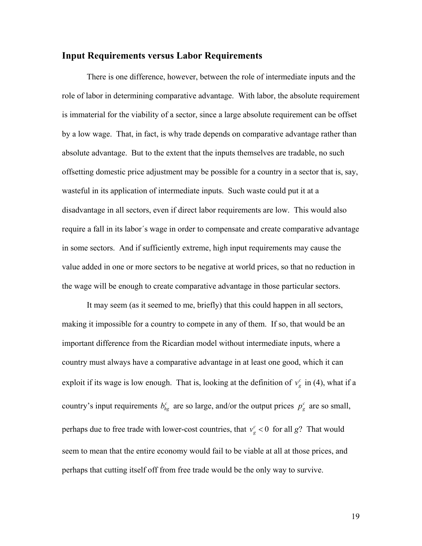# **Input Requirements versus Labor Requirements**

There is one difference, however, between the role of intermediate inputs and the role of labor in determining comparative advantage. With labor, the absolute requirement is immaterial for the viability of a sector, since a large absolute requirement can be offset by a low wage. That, in fact, is why trade depends on comparative advantage rather than absolute advantage. But to the extent that the inputs themselves are tradable, no such offsetting domestic price adjustment may be possible for a country in a sector that is, say, wasteful in its application of intermediate inputs. Such waste could put it at a disadvantage in all sectors, even if direct labor requirements are low. This would also require a fall in its labor´s wage in order to compensate and create comparative advantage in some sectors. And if sufficiently extreme, high input requirements may cause the value added in one or more sectors to be negative at world prices, so that no reduction in the wage will be enough to create comparative advantage in those particular sectors.

It may seem (as it seemed to me, briefly) that this could happen in all sectors, making it impossible for a country to compete in any of them. If so, that would be an important difference from the Ricardian model without intermediate inputs, where a country must always have a comparative advantage in at least one good, which it can exploit if its wage is low enough. That is, looking at the definition of  $v_g^c$  in (4), what if a country's input requirements  $b_{hg}^c$  are so large, and/or the output prices  $p_g^c$  are so small, perhaps due to free trade with lower-cost countries, that  $v_g^c < 0$  for all *g*? That would seem to mean that the entire economy would fail to be viable at all at those prices, and perhaps that cutting itself off from free trade would be the only way to survive.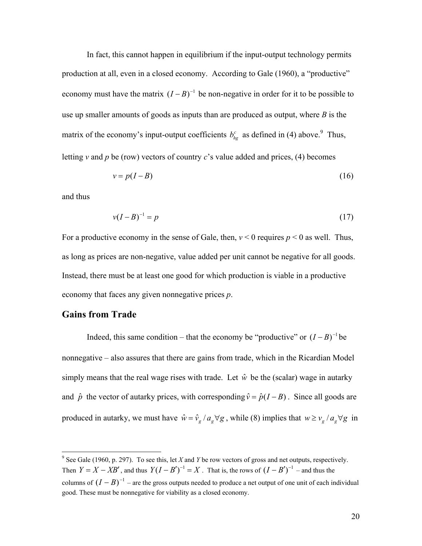In fact, this cannot happen in equilibrium if the input-output technology permits production at all, even in a closed economy. According to Gale (1960), a "productive" economy must have the matrix  $(I - B)^{-1}$  be non-negative in order for it to be possible to use up smaller amounts of goods as inputs than are produced as output, where *B* is the matrix of the economy's input-output coefficients  $b_{hg}^c$  as defined in (4) above.<sup>9</sup> Thus, letting *v* and *p* be (row) vectors of country *c*'s value added and prices, (4) becomes

$$
v = p(I - B) \tag{16}
$$

and thus

$$
v(I - B)^{-1} = p \tag{17}
$$

For a productive economy in the sense of Gale, then,  $v < 0$  requires  $p < 0$  as well. Thus, as long as prices are non-negative, value added per unit cannot be negative for all goods. Instead, there must be at least one good for which production is viable in a productive economy that faces any given nonnegative prices *p*.

### **Gains from Trade**

Indeed, this same condition – that the economy be "productive" or  $(I - B)^{-1}$  be nonnegative – also assures that there are gains from trade, which in the Ricardian Model simply means that the real wage rises with trade. Let  $\hat{w}$  be the (scalar) wage in autarky and  $\hat{p}$  the vector of autarky prices, with corresponding  $\hat{v} = \hat{p}(I - B)$ . Since all goods are produced in autarky, we must have  $\hat{w} = \hat{v}_g / a_g \forall g$ , while (8) implies that  $w \ge v_g / a_g \forall g$  in

 9 See Gale (1960, p. 297). To see this, let *X* and *Y* be row vectors of gross and net outputs, respectively. Then  $Y = X - XB'$ , and thus  $Y(I - B')^{-1} = X$ . That is, the rows of  $(I - B')^{-1}$  – and thus the columns of  $(I - B)^{-1}$  – are the gross outputs needed to produce a net output of one unit of each individual good. These must be nonnegative for viability as a closed economy.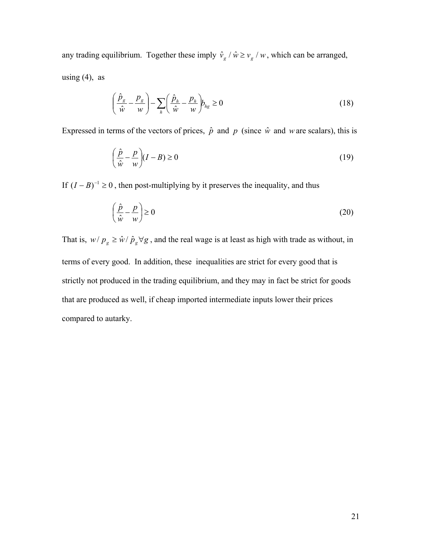any trading equilibrium. Together these imply  $\hat{v}_g / \hat{w} \ge v_g / w$ , which can be arranged, using  $(4)$ , as

$$
\left(\frac{\hat{p}_g}{\hat{w}} - \frac{p_g}{w}\right) - \sum_{h} \left(\frac{\hat{p}_h}{\hat{w}} - \frac{p_h}{w}\right) b_{hg} \ge 0
$$
\n(18)

Expressed in terms of the vectors of prices,  $\hat{p}$  and *p* (since  $\hat{w}$  and *w* are scalars), this is

$$
\left(\frac{\hat{p}}{\hat{w}} - \frac{p}{w}\right)(I - B) \ge 0\tag{19}
$$

If  $(I - B)^{-1}$  ≥ 0, then post-multiplying by it preserves the inequality, and thus

$$
\left(\frac{\hat{p}}{\hat{w}} - \frac{p}{w}\right) \ge 0\tag{20}
$$

That is,  $w/p_g \ge \hat{w}/\hat{p}_g \forall g$ , and the real wage is at least as high with trade as without, in terms of every good. In addition, these inequalities are strict for every good that is strictly not produced in the trading equilibrium, and they may in fact be strict for goods that are produced as well, if cheap imported intermediate inputs lower their prices compared to autarky.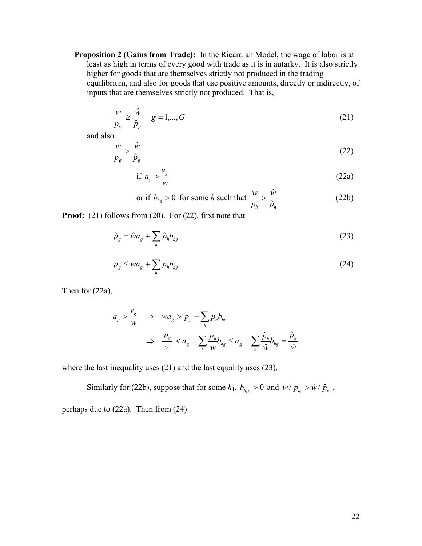**Proposition 2 (Gains from Trade):** In the Ricardian Model, the wage of labor is at least as high in terms of every good with trade as it is in autarky. It is also strictly higher for goods that are themselves strictly not produced in the trading equilibrium, and also for goods that use positive amounts, directly or indirectly, of inputs that are themselves strictly not produced. That is,

$$
\frac{w}{p_g} \ge \frac{\hat{w}}{\hat{p}_g} \quad g = 1, \dots, G \tag{21}
$$

and also

$$
\frac{w}{p_g} > \frac{\hat{w}}{\hat{p}_g} \tag{22}
$$

$$
\text{if } a_g > \frac{v_g}{w} \tag{22a}
$$

or if 
$$
b_{hg} > 0
$$
 for some *h* such that  $\frac{w}{p_h} > \frac{\hat{w}}{\hat{p}_h}$  (22b)

**Proof:** (21) follows from (20). For (22), first note that

$$
\hat{p}_g = \hat{w}a_g + \sum_h \hat{p}_h b_{hg} \tag{23}
$$

$$
p_g \leq w a_g + \sum_h p_h b_{hg} \tag{24}
$$

Then for (22a),

$$
a_g > \frac{v_g}{w} \implies wa_g > p_g - \sum_h p_h b_{hg}
$$
  

$$
\implies \frac{p_g}{w} < a_g + \sum_h \frac{p_h}{w} b_{hg} \le a_g + \sum_h \frac{\hat{p}_h}{\hat{w}} b_{hg} = \frac{\hat{p}_g}{\hat{w}}
$$

where the last inequality uses (21) and the last equality uses (23).

Similarly for (22b), suppose that for some  $h_1$ ,  $b_{h_1g} > 0$  and  $w / p_{h_1} > \hat{w} / \hat{p}_{h_1}$ ,

perhaps due to (22a). Then from (24)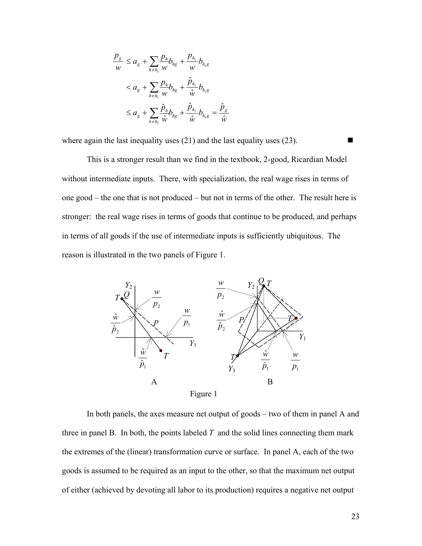$$
\frac{p_g}{w} \le a_g + \sum_{h \ne h_1} \frac{p_h}{w} b_{hg} + \frac{p_{h_1}}{w} b_{h_1 g}
$$
  

$$
< a_g + \sum_{h \ne h_1} \frac{p_h}{w} b_{hg} + \frac{\hat{p}_{h_1}}{\hat{w}} b_{h_1 g}
$$
  

$$
\le a_g + \sum_{h \ne h_1} \frac{\hat{p}_h}{\hat{w}} b_{hg} + \frac{\hat{p}_{h_1}}{\hat{w}} b_{h_1 g} = \frac{\hat{p}_g}{\hat{w}}
$$

where again the last inequality uses (21) and the last equality uses (23).

 This is a stronger result than we find in the textbook, 2-good, Ricardian Model without intermediate inputs. There, with specialization, the real wage rises in terms of one good – the one that is not produced – but not in terms of the other. The result here is stronger: the real wage rises in terms of goods that continue to be produced, and perhaps in terms of all goods if the use of intermediate inputs is sufficiently ubiquitous. The reason is illustrated in the two panels of Figure 1.



Figure 1

 In both panels, the axes measure net output of goods – two of them in panel A and three in panel B. In both, the points labeled  $T$  and the solid lines connecting them mark the extremes of the (linear) transformation curve or surface. In panel A, each of the two goods is assumed to be required as an input to the other, so that the maximum net output of either (achieved by devoting all labor to its production) requires a negative net output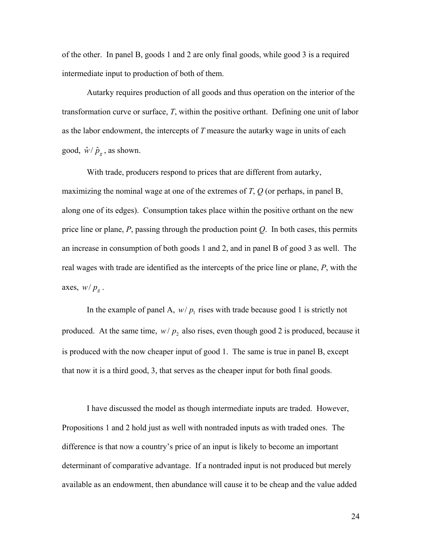of the other. In panel B, goods 1 and 2 are only final goods, while good 3 is a required intermediate input to production of both of them.

 Autarky requires production of all goods and thus operation on the interior of the transformation curve or surface, *T*, within the positive orthant. Defining one unit of labor as the labor endowment, the intercepts of *T* measure the autarky wage in units of each good,  $\hat{w}/\hat{p}_g$ , as shown.

 With trade, producers respond to prices that are different from autarky, maximizing the nominal wage at one of the extremes of *T*, *Q* (or perhaps, in panel B, along one of its edges). Consumption takes place within the positive orthant on the new price line or plane, *P*, passing through the production point *Q*. In both cases, this permits an increase in consumption of both goods 1 and 2, and in panel B of good 3 as well. The real wages with trade are identified as the intercepts of the price line or plane, *P*, with the axes,  $w/p_e$ .

In the example of panel A,  $w/p_1$  rises with trade because good 1 is strictly not produced. At the same time,  $w/p_2$  also rises, even though good 2 is produced, because it is produced with the now cheaper input of good 1. The same is true in panel B, except that now it is a third good, 3, that serves as the cheaper input for both final goods.

I have discussed the model as though intermediate inputs are traded. However, Propositions 1 and 2 hold just as well with nontraded inputs as with traded ones. The difference is that now a country's price of an input is likely to become an important determinant of comparative advantage. If a nontraded input is not produced but merely available as an endowment, then abundance will cause it to be cheap and the value added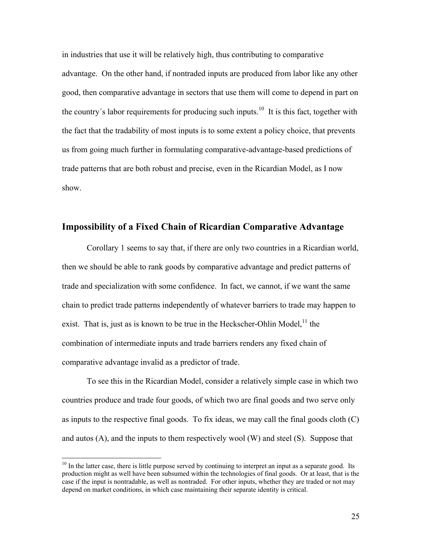in industries that use it will be relatively high, thus contributing to comparative advantage. On the other hand, if nontraded inputs are produced from labor like any other good, then comparative advantage in sectors that use them will come to depend in part on the country's labor requirements for producing such inputs.<sup>10</sup> It is this fact, together with the fact that the tradability of most inputs is to some extent a policy choice, that prevents us from going much further in formulating comparative-advantage-based predictions of trade patterns that are both robust and precise, even in the Ricardian Model, as I now show.

### **Impossibility of a Fixed Chain of Ricardian Comparative Advantage**

 Corollary 1 seems to say that, if there are only two countries in a Ricardian world, then we should be able to rank goods by comparative advantage and predict patterns of trade and specialization with some confidence. In fact, we cannot, if we want the same chain to predict trade patterns independently of whatever barriers to trade may happen to exist. That is, just as is known to be true in the Heckscher-Ohlin Model,  $\frac{1}{1}$  the combination of intermediate inputs and trade barriers renders any fixed chain of comparative advantage invalid as a predictor of trade.

To see this in the Ricardian Model, consider a relatively simple case in which two countries produce and trade four goods, of which two are final goods and two serve only as inputs to the respective final goods. To fix ideas, we may call the final goods cloth (C) and autos (A), and the inputs to them respectively wool (W) and steel (S). Suppose that

 $\overline{a}$ 

 $10$  In the latter case, there is little purpose served by continuing to interpret an input as a separate good. Its production might as well have been subsumed within the technologies of final goods. Or at least, that is the case if the input is nontradable, as well as nontraded. For other inputs, whether they are traded or not may depend on market conditions, in which case maintaining their separate identity is critical.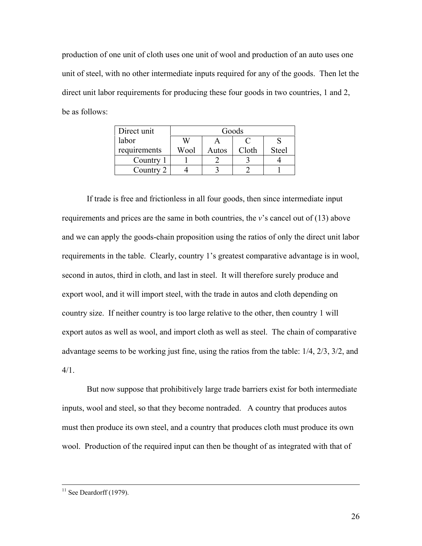production of one unit of cloth uses one unit of wool and production of an auto uses one unit of steel, with no other intermediate inputs required for any of the goods. Then let the direct unit labor requirements for producing these four goods in two countries, 1 and 2, be as follows:

| Direct unit  | Goods |       |       |              |
|--------------|-------|-------|-------|--------------|
| labor        | W     |       |       |              |
| requirements | Wool  | Autos | Cloth | <b>Steel</b> |
| Country 1    |       |       |       |              |
| Country 2    |       |       |       |              |

 If trade is free and frictionless in all four goods, then since intermediate input requirements and prices are the same in both countries, the *v*'s cancel out of (13) above and we can apply the goods-chain proposition using the ratios of only the direct unit labor requirements in the table. Clearly, country 1's greatest comparative advantage is in wool, second in autos, third in cloth, and last in steel. It will therefore surely produce and export wool, and it will import steel, with the trade in autos and cloth depending on country size. If neither country is too large relative to the other, then country 1 will export autos as well as wool, and import cloth as well as steel. The chain of comparative advantage seems to be working just fine, using the ratios from the table: 1/4, 2/3, 3/2, and 4/1.

 But now suppose that prohibitively large trade barriers exist for both intermediate inputs, wool and steel, so that they become nontraded. A country that produces autos must then produce its own steel, and a country that produces cloth must produce its own wool. Production of the required input can then be thought of as integrated with that of

 $11$  See Deardorff (1979).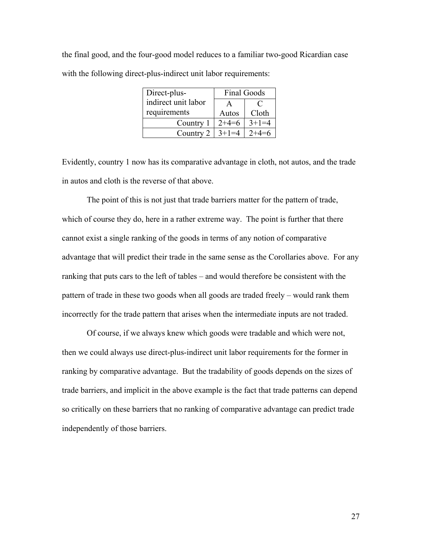the final good, and the four-good model reduces to a familiar two-good Ricardian case with the following direct-plus-indirect unit labor requirements:

| Direct-plus-        | <b>Final Goods</b> |             |  |
|---------------------|--------------------|-------------|--|
| indirect unit labor |                    |             |  |
| requirements        | Autos              | Cloth       |  |
| Country 1           | $2+4=6$            | $3+1=4$     |  |
| Country 2           | $3+1=4$            | $7 + 4 = 6$ |  |

Evidently, country 1 now has its comparative advantage in cloth, not autos, and the trade in autos and cloth is the reverse of that above.

 The point of this is not just that trade barriers matter for the pattern of trade, which of course they do, here in a rather extreme way. The point is further that there cannot exist a single ranking of the goods in terms of any notion of comparative advantage that will predict their trade in the same sense as the Corollaries above. For any ranking that puts cars to the left of tables – and would therefore be consistent with the pattern of trade in these two goods when all goods are traded freely – would rank them incorrectly for the trade pattern that arises when the intermediate inputs are not traded.

Of course, if we always knew which goods were tradable and which were not, then we could always use direct-plus-indirect unit labor requirements for the former in ranking by comparative advantage. But the tradability of goods depends on the sizes of trade barriers, and implicit in the above example is the fact that trade patterns can depend so critically on these barriers that no ranking of comparative advantage can predict trade independently of those barriers.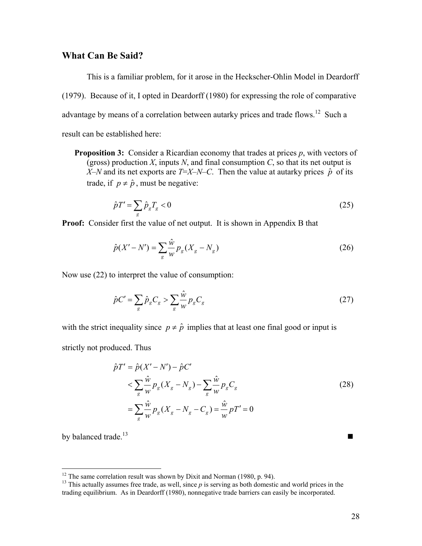# **What Can Be Said?**

This is a familiar problem, for it arose in the Heckscher-Ohlin Model in Deardorff (1979). Because of it, I opted in Deardorff (1980) for expressing the role of comparative advantage by means of a correlation between autarky prices and trade flows.<sup>12</sup> Such a result can be established here:

**Proposition 3:** Consider a Ricardian economy that trades at prices p, with vectors of (gross) production *X*, inputs *N*, and final consumption *C*, so that its net output is *X–N* and its net exports are *T*=*X–N–C*. Then the value at autarky prices  $\hat{p}$  of its trade, if  $p \neq \hat{p}$ , must be negative:

$$
\hat{p}T' = \sum_{g} \hat{p}_g T_g < 0\tag{25}
$$

**Proof:** Consider first the value of net output. It is shown in Appendix B that

$$
\hat{p}(X'-N') = \sum_{g} \frac{\hat{w}}{w} p_g(X_g - N_g)
$$
\n(26)

Now use (22) to interpret the value of consumption:

$$
\hat{p}C' = \sum_{g} \hat{p}_g C_g > \sum_{g} \frac{\hat{w}}{w} p_g C_g \tag{27}
$$

with the strict inequality since  $p \neq \hat{p}$  implies that at least one final good or input is

strictly not produced. Thus

$$
\hat{p}T' = \hat{p}(X'-N') - \hat{p}C'
$$
\n
$$
< \sum_{g} \frac{\hat{w}}{w} p_g(X_g - N_g) - \sum_{g} \frac{\hat{w}}{w} p_g C_g
$$
\n
$$
= \sum_{g} \frac{\hat{w}}{w} p_g(X_g - N_g - C_g) = \frac{\hat{w}}{w} pT' = 0
$$
\n
$$
(28)
$$

by balanced trade.<sup>13</sup>

 $12$  The same correlation result was shown by Dixit and Norman (1980, p. 94).

<sup>&</sup>lt;sup>13</sup> This actually assumes free trade, as well, since  $p$  is serving as both domestic and world prices in the trading equilibrium. As in Deardorff (1980), nonnegative trade barriers can easily be incorporated.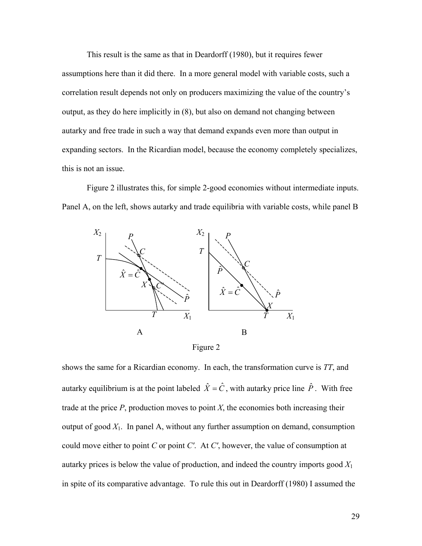This result is the same as that in Deardorff (1980), but it requires fewer assumptions here than it did there. In a more general model with variable costs, such a correlation result depends not only on producers maximizing the value of the country's output, as they do here implicitly in (8), but also on demand not changing between autarky and free trade in such a way that demand expands even more than output in expanding sectors. In the Ricardian model, because the economy completely specializes, this is not an issue.

Figure 2 illustrates this, for simple 2-good economies without intermediate inputs. Panel A, on the left, shows autarky and trade equilibria with variable costs, while panel B





shows the same for a Ricardian economy. In each, the transformation curve is *TT*, and autarky equilibrium is at the point labeled  $\hat{X} = \hat{C}$ , with autarky price line  $\hat{P}$ . With free trade at the price  $P$ , production moves to point  $X$ , the economies both increasing their output of good  $X_1$ . In panel A, without any further assumption on demand, consumption could move either to point *C* or point *C'*. At *C'*, however, the value of consumption at autarky prices is below the value of production, and indeed the country imports good *X*<sup>1</sup> in spite of its comparative advantage. To rule this out in Deardorff (1980) I assumed the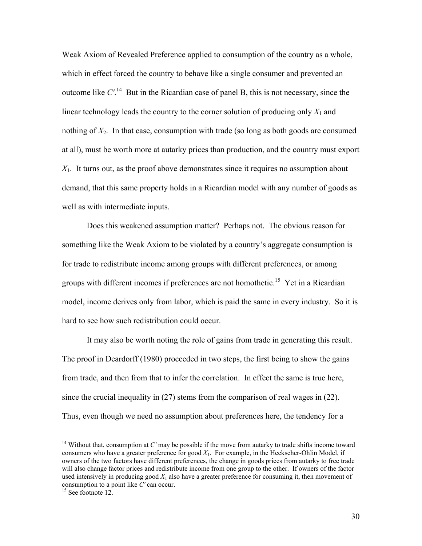Weak Axiom of Revealed Preference applied to consumption of the country as a whole, which in effect forced the country to behave like a single consumer and prevented an outcome like  $C'^{14}$  But in the Ricardian case of panel B, this is not necessary, since the linear technology leads the country to the corner solution of producing only  $X_1$  and nothing of *X*2. In that case, consumption with trade (so long as both goods are consumed at all), must be worth more at autarky prices than production, and the country must export *X*1. It turns out, as the proof above demonstrates since it requires no assumption about demand, that this same property holds in a Ricardian model with any number of goods as well as with intermediate inputs.

Does this weakened assumption matter? Perhaps not. The obvious reason for something like the Weak Axiom to be violated by a country's aggregate consumption is for trade to redistribute income among groups with different preferences, or among groups with different incomes if preferences are not homothetic.<sup>15</sup> Yet in a Ricardian model, income derives only from labor, which is paid the same in every industry. So it is hard to see how such redistribution could occur.

It may also be worth noting the role of gains from trade in generating this result. The proof in Deardorff (1980) proceeded in two steps, the first being to show the gains from trade, and then from that to infer the correlation. In effect the same is true here, since the crucial inequality in (27) stems from the comparison of real wages in (22). Thus, even though we need no assumption about preferences here, the tendency for a

 $\overline{a}$ 

<sup>&</sup>lt;sup>14</sup> Without that, consumption at  $C'$  may be possible if the move from autarky to trade shifts income toward consumers who have a greater preference for good  $X_1$ . For example, in the Heckscher-Ohlin Model, if owners of the two factors have different preferences, the change in goods prices from autarky to free trade will also change factor prices and redistribute income from one group to the other. If owners of the factor used intensively in producing good  $X_1$  also have a greater preference for consuming it, then movement of consumption to a point like *C'* can occur.<sup>15</sup> See footnote 12.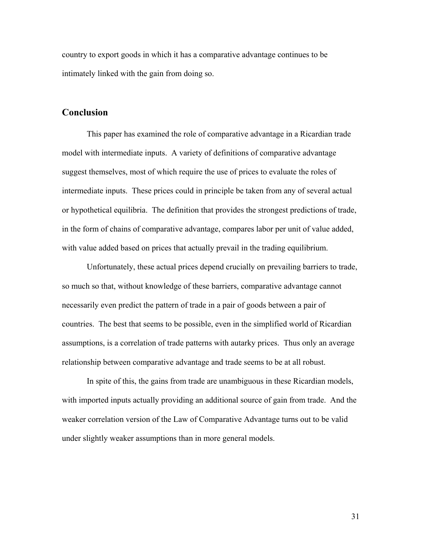country to export goods in which it has a comparative advantage continues to be intimately linked with the gain from doing so.

## **Conclusion**

This paper has examined the role of comparative advantage in a Ricardian trade model with intermediate inputs. A variety of definitions of comparative advantage suggest themselves, most of which require the use of prices to evaluate the roles of intermediate inputs. These prices could in principle be taken from any of several actual or hypothetical equilibria. The definition that provides the strongest predictions of trade, in the form of chains of comparative advantage, compares labor per unit of value added, with value added based on prices that actually prevail in the trading equilibrium.

Unfortunately, these actual prices depend crucially on prevailing barriers to trade, so much so that, without knowledge of these barriers, comparative advantage cannot necessarily even predict the pattern of trade in a pair of goods between a pair of countries. The best that seems to be possible, even in the simplified world of Ricardian assumptions, is a correlation of trade patterns with autarky prices. Thus only an average relationship between comparative advantage and trade seems to be at all robust.

In spite of this, the gains from trade are unambiguous in these Ricardian models, with imported inputs actually providing an additional source of gain from trade. And the weaker correlation version of the Law of Comparative Advantage turns out to be valid under slightly weaker assumptions than in more general models.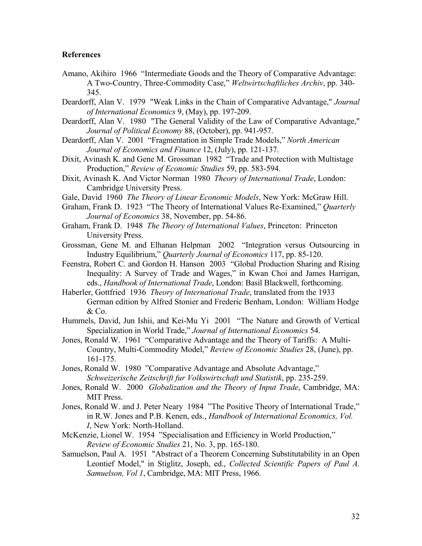### **References**

- Amano, Akihiro 1966 "Intermediate Goods and the Theory of Comparative Advantage: A Two-Country, Three-Commodity Case," *Weltwirtschaftliches Archiv*, pp. 340- 345.
- Deardorff, Alan V. 1979 "Weak Links in the Chain of Comparative Advantage," *Journal of International Economics* 9, (May), pp. 197-209.
- Deardorff, Alan V. 1980 "The General Validity of the Law of Comparative Advantage," *Journal of Political Economy* 88, (October), pp. 941-957.
- Deardorff, Alan V. 2001 "Fragmentation in Simple Trade Models," *North American Journal of Economics and Finance* 12, (July), pp. 121-137.
- Dixit, Avinash K. and Gene M. Grossman 1982 "Trade and Protection with Multistage Production," *Review of Economic Studies* 59, pp. 583-594.
- Dixit, Avinash K. And Victor Norman 1980 *Theory of International Trade*, London: Cambridge University Press.
- Gale, David 1960 *The Theory of Linear Economic Models*, New York: McGraw Hill.
- Graham, Frank D. 1923 "The Theory of International Values Re-Examined," *Quarterly Journal of Economics* 38, November, pp. 54-86.
- Graham, Frank D. 1948 *The Theory of International Values*, Princeton: Princeton University Press.
- Grossman, Gene M. and Elhanan Helpman 2002 "Integration versus Outsourcing in Industry Equilibrium," *Quarterly Journal of Economics* 117, pp. 85-120.
- Feenstra, Robert C. and Gordon H. Hanson 2003 "Global Production Sharing and Rising Inequality: A Survey of Trade and Wages," in Kwan Choi and James Harrigan, eds., *Handbook of International Trade*, London: Basil Blackwell, forthcoming.
- Haberler, Gottfried 1936 *Theory of International Trade*, translated from the 1933 German edition by Alfred Stonier and Frederic Benham, London: William Hodge & Co.
- Hummels, David, Jun Ishii, and Kei-Mu Yi 2001 "The Nature and Growth of Vertical Specialization in World Trade," *Journal of International Economics* 54.
- Jones, Ronald W. 1961 "Comparative Advantage and the Theory of Tariffs: A Multi-Country, Multi-Commodity Model," *Review of Economic Studies* 28, (June), pp. 161-175.
- Jones, Ronald W. 1980 "Comparative Advantage and Absolute Advantage," *Schweizerische Zeitschrift fur Volkswirtschaft und Statistik*, pp. 235-259.
- Jones, Ronald W. 2000 *Globalization and the Theory of Input Trade*, Cambridge, MA: **MIT** Press.
- Jones, Ronald W. and J. Peter Neary 1984 "The Positive Theory of International Trade," in R.W. Jones and P.B. Kenen, eds., *Handbook of International Economics, Vol. I*, New York: North-Holland.
- McKenzie, Lionel W. 1954 "Specialisation and Efficiency in World Production," *Review of Economic Studies* 21, No. 3, pp. 165-180.
- Samuelson, Paul A. 1951 "Abstract of a Theorem Concerning Substitutability in an Open Leontief Model," in Stiglitz, Joseph, ed., *Collected Scientific Papers of Paul A. Samuelson, Vol 1*, Cambridge, MA: MIT Press, 1966.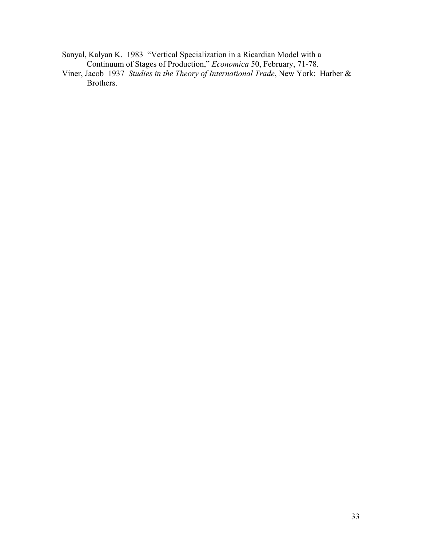Sanyal, Kalyan K. 1983 "Vertical Specialization in a Ricardian Model with a Continuum of Stages of Production," *Economica* 50, February, 71-78.

Viner, Jacob 1937 *Studies in the Theory of International Trade*, New York: Harber & Brothers.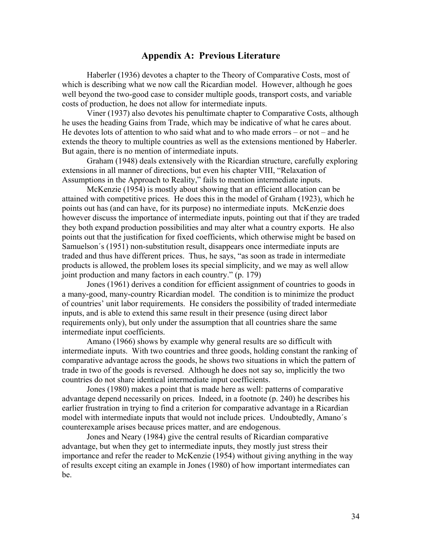### **Appendix A: Previous Literature**

 Haberler (1936) devotes a chapter to the Theory of Comparative Costs, most of which is describing what we now call the Ricardian model. However, although he goes well beyond the two-good case to consider multiple goods, transport costs, and variable costs of production, he does not allow for intermediate inputs.

Viner (1937) also devotes his penultimate chapter to Comparative Costs, although he uses the heading Gains from Trade, which may be indicative of what he cares about. He devotes lots of attention to who said what and to who made errors – or not – and he extends the theory to multiple countries as well as the extensions mentioned by Haberler. But again, there is no mention of intermediate inputs.

Graham (1948) deals extensively with the Ricardian structure, carefully exploring extensions in all manner of directions, but even his chapter VIII, "Relaxation of Assumptions in the Approach to Reality," fails to mention intermediate inputs.

McKenzie (1954) is mostly about showing that an efficient allocation can be attained with competitive prices. He does this in the model of Graham (1923), which he points out has (and can have, for its purpose) no intermediate inputs. McKenzie does however discuss the importance of intermediate inputs, pointing out that if they are traded they both expand production possibilities and may alter what a country exports. He also points out that the justification for fixed coefficients, which otherwise might be based on Samuelson´s (1951) non-substitution result, disappears once intermediate inputs are traded and thus have different prices. Thus, he says, "as soon as trade in intermediate products is allowed, the problem loses its special simplicity, and we may as well allow joint production and many factors in each country." (p. 179)

Jones (1961) derives a condition for efficient assignment of countries to goods in a many-good, many-country Ricardian model. The condition is to minimize the product of countries' unit labor requirements. He considers the possibility of traded intermediate inputs, and is able to extend this same result in their presence (using direct labor requirements only), but only under the assumption that all countries share the same intermediate input coefficients.

Amano (1966) shows by example why general results are so difficult with intermediate inputs. With two countries and three goods, holding constant the ranking of comparative advantage across the goods, he shows two situations in which the pattern of trade in two of the goods is reversed. Although he does not say so, implicitly the two countries do not share identical intermediate input coefficients.

Jones (1980) makes a point that is made here as well: patterns of comparative advantage depend necessarily on prices. Indeed, in a footnote (p. 240) he describes his earlier frustration in trying to find a criterion for comparative advantage in a Ricardian model with intermediate inputs that would not include prices. Undoubtedly, Amano´s counterexample arises because prices matter, and are endogenous.

 Jones and Neary (1984) give the central results of Ricardian comparative advantage, but when they get to intermediate inputs, they mostly just stress their importance and refer the reader to McKenzie (1954) without giving anything in the way of results except citing an example in Jones (1980) of how important intermediates can be.